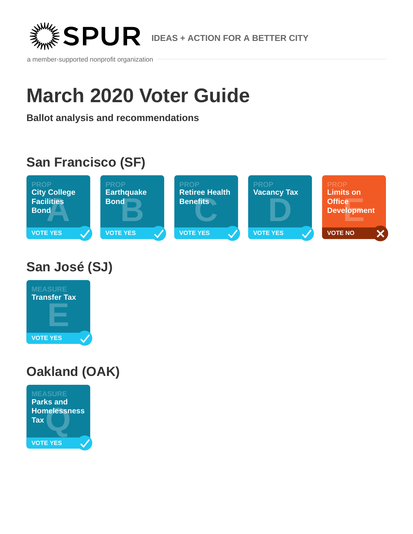

a member-supported nonprofit organization

# **March 2020 Voter Guide**

**Ballot analysis and recommendations**

# **San Francisco (SF)**



**San José (SJ)**



# **Oakland (OAK)**

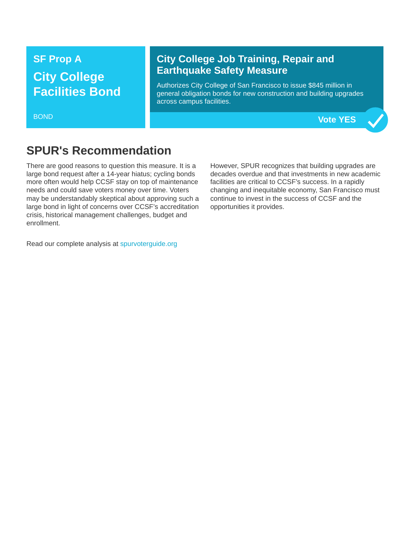# **SF Prop A City College Facilities Bond**

#### BOND

### **City College Job Training, Repair and Earthquake Safety Measure**

Authorizes City College of San Francisco to issue \$845 million in general obligation bonds for new construction and building upgrades across campus facilities.

**Vote YES**

### **SPUR's Recommendation**

There are good reasons to question this measure. It is a large bond request after a 14-year hiatus; cycling bonds more often would help CCSF stay on top of maintenance needs and could save voters money over time. Voters may be understandably skeptical about approving such a large bond in light of concerns over CCSF's accreditation crisis, historical management challenges, budget and enrollment.

However, SPUR recognizes that building upgrades are decades overdue and that investments in new academic facilities are critical to CCSF's success. In a rapidly changing and inequitable economy, San Francisco must continue to invest in the success of CCSF and the opportunities it provides.

Read our complete analysis at [spurvoterguide.org](https://spurvoterguide.org/)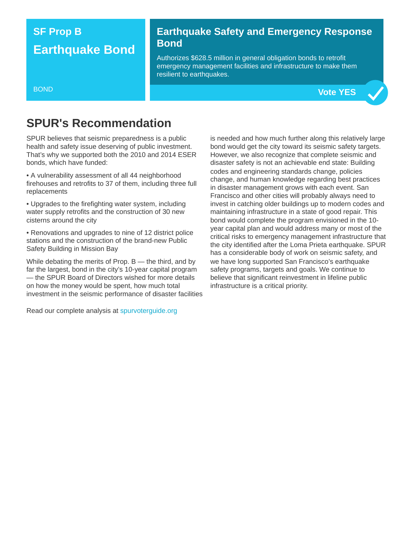### **SF Prop B Earthquake Bond**

#### **Earthquake Safety and Emergency Response Bond**

Authorizes \$628.5 million in general obligation bonds to retrofit emergency management facilities and infrastructure to make them resilient to earthquakes.

#### BOND

### **SPUR's Recommendation**

SPUR believes that seismic preparedness is a public health and safety issue deserving of public investment. That's why we supported both the 2010 and 2014 ESER bonds, which have funded:

• A vulnerability assessment of all 44 neighborhood firehouses and retrofits to 37 of them, including three full replacements

• Upgrades to the firefighting water system, including water supply retrofits and the construction of 30 new cisterns around the city

• Renovations and upgrades to nine of 12 district police stations and the construction of the brand-new Public Safety Building in Mission Bay

While debating the merits of Prop.  $B$  — the third, and by far the largest, bond in the city's 10-year capital program — the SPUR Board of Directors wished for more details on how the money would be spent, how much total investment in the seismic performance of disaster facilities

Read our complete analysis at [spurvoterguide.org](https://spurvoterguide.org/)

is needed and how much further along this relatively large bond would get the city toward its seismic safety targets. However, we also recognize that complete seismic and disaster safety is not an achievable end state: Building codes and engineering standards change, policies change, and human knowledge regarding best practices in disaster management grows with each event. San Francisco and other cities will probably always need to invest in catching older buildings up to modern codes and maintaining infrastructure in a state of good repair. This bond would complete the program envisioned in the 10 year capital plan and would address many or most of the critical risks to emergency management infrastructure that the city identified after the Loma Prieta earthquake. SPUR has a considerable body of work on seismic safety, and we have long supported San Francisco's earthquake safety programs, targets and goals. We continue to believe that significant reinvestment in lifeline public infrastructure is a critical priority.

**Vote YES**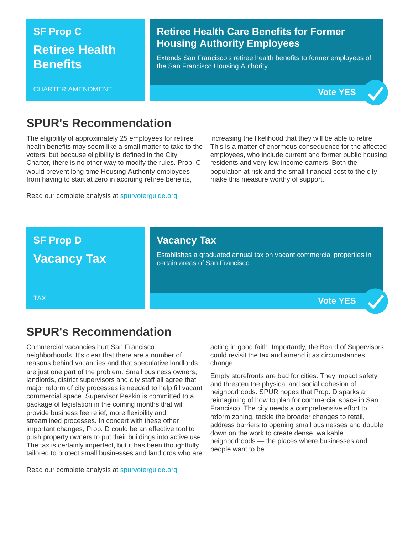# **SF Prop C Retiree Health Benefits**

#### CHARTER AMENDMENT

#### **Retiree Health Care Benefits for Former Housing Authority Employees**

Extends San Francisco's retiree health benefits to former employees of the San Francisco Housing Authority.



**Vote YES**

### **SPUR's Recommendation**

The eligibility of approximately 25 employees for retiree health benefits may seem like a small matter to take to the voters, but because eligibility is defined in the City Charter, there is no other way to modify the rules. Prop. C would prevent long-time Housing Authority employees from having to start at zero in accruing retiree benefits,

Read our complete analysis at [spurvoterguide.org](https://spurvoterguide.org/)

increasing the likelihood that they will be able to retire. This is a matter of enormous consequence for the affected employees, who include current and former public housing residents and very-low-income earners. Both the population at risk and the small financial cost to the city make this measure worthy of support.

#### **SF Prop D**

### **Vacancy Tax**

### **Vacancy Tax**

Establishes a graduated annual tax on vacant commercial properties in certain areas of San Francisco.

TAX

### **SPUR's Recommendation**

Commercial vacancies hurt San Francisco neighborhoods. It's clear that there are a number of reasons behind vacancies and that speculative landlords are just one part of the problem. Small business owners, landlords, district supervisors and city staff all agree that major reform of city processes is needed to help fill vacant commercial space. Supervisor Peskin is committed to a package of legislation in the coming months that will provide business fee relief, more flexibility and streamlined processes. In concert with these other important changes, Prop. D could be an effective tool to push property owners to put their buildings into active use. The tax is certainly imperfect, but it has been thoughtfully tailored to protect small businesses and landlords who are

Read our complete analysis at [spurvoterguide.org](https://spurvoterguide.org/)

acting in good faith. Importantly, the Board of Supervisors could revisit the tax and amend it as circumstances change.

Empty storefronts are bad for cities. They impact safety and threaten the physical and social cohesion of neighborhoods. SPUR hopes that Prop. D sparks a reimagining of how to plan for commercial space in San Francisco. The city needs a comprehensive effort to reform zoning, tackle the broader changes to retail, address barriers to opening small businesses and double down on the work to create dense, walkable neighborhoods — the places where businesses and people want to be.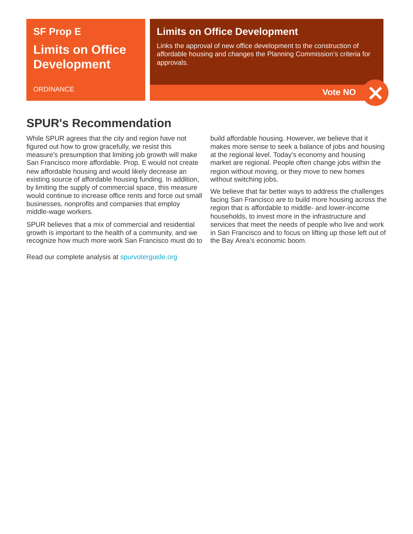# **SF Prop E Limits on Office Development**

#### **ORDINANCE**

#### **Limits on Office Development**

Links the approval of new office development to the construction of affordable housing and changes the Planning Commission's criteria for approvals.



### **SPUR's Recommendation**

While SPUR agrees that the city and region have not figured out how to grow gracefully, we resist this measure's presumption that limiting job growth will make San Francisco more affordable. Prop. E would not create new affordable housing and would likely decrease an existing source of affordable housing funding. In addition, by limiting the supply of commercial space, this measure would continue to increase office rents and force out small businesses, nonprofits and companies that employ middle-wage workers.

SPUR believes that a mix of commercial and residential growth is important to the health of a community, and we recognize how much more work San Francisco must do to

Read our complete analysis at [spurvoterguide.org](https://spurvoterguide.org/)

build affordable housing. However, we believe that it makes more sense to seek a balance of jobs and housing at the regional level. Today's economy and housing market are regional. People often change jobs within the region without moving, or they move to new homes without switching jobs.

We believe that far better ways to address the challenges facing San Francisco are to build more housing across the region that is affordable to middle- and lower-income households, to invest more in the infrastructure and services that meet the needs of people who live and work in San Francisco and to focus on lifting up those left out of the Bay Area's economic boom.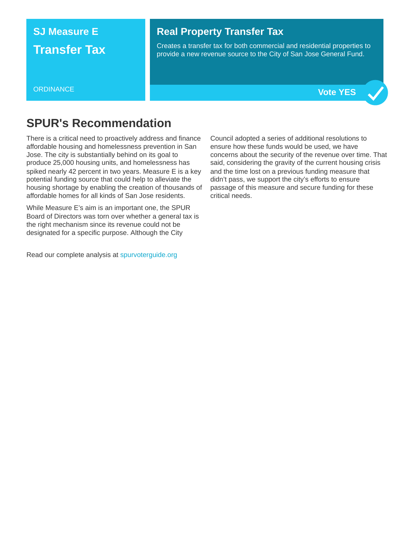### **SJ Measure E Transfer Tax**

#### **Real Property Transfer Tax**

Creates a transfer tax for both commercial and residential properties to provide a new revenue source to the City of San Jose General Fund.

**ORDINANCE** 



### **SPUR's Recommendation**

There is a critical need to proactively address and finance affordable housing and homelessness prevention in San Jose. The city is substantially behind on its goal to produce 25,000 housing units, and homelessness has spiked nearly 42 percent in two years. Measure E is a key potential funding source that could help to alleviate the housing shortage by enabling the creation of thousands of affordable homes for all kinds of San Jose residents.

While Measure E's aim is an important one, the SPUR Board of Directors was torn over whether a general tax is the right mechanism since its revenue could not be designated for a specific purpose. Although the City

Read our complete analysis at [spurvoterguide.org](https://spurvoterguide.org/)

Council adopted a series of additional resolutions to ensure how these funds would be used, we have concerns about the security of the revenue over time. That said, considering the gravity of the current housing crisis and the time lost on a previous funding measure that didn't pass, we support the city's efforts to ensure passage of this measure and secure funding for these critical needs.